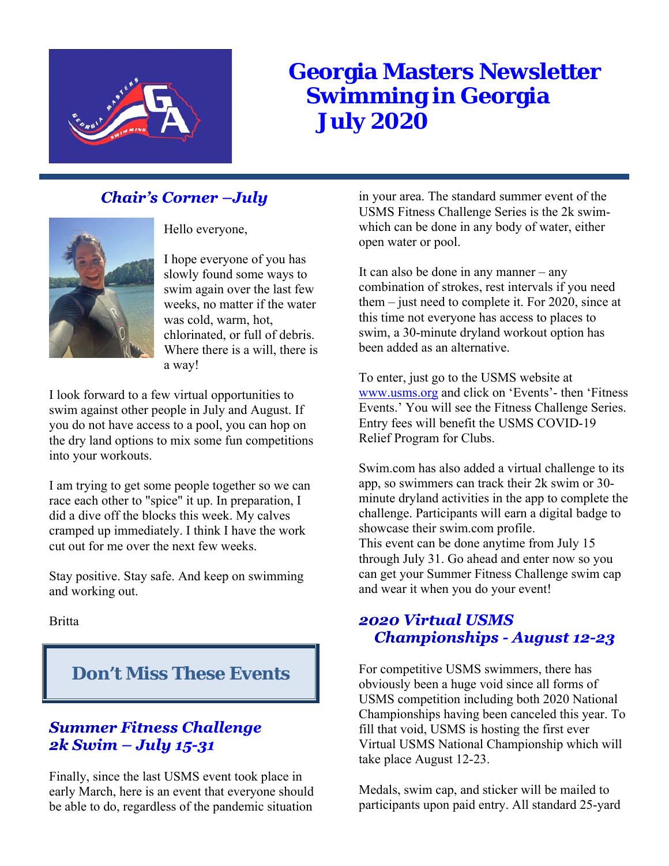

# **Georgia Masters Newsletter Swimming in Georgia July 2020**

# **Chair's Corner -July**



Hello everyone,

I hope everyone of you has slowly found some ways to swim again over the last few weeks, no matter if the water was cold, warm, hot, chlorinated, or full of debris. Where there is a will, there is a way!

I look forward to a few virtual opportunities to swim against other people in July and August. If you do not have access to a pool, you can hop on the dry land options to mix some fun competitions into your workouts.

I am trying to get some people together so we can race each other to "spice" it up. In preparation, I did a dive off the blocks this week. My calves cramped up immediately. I think I have the work cut out for me over the next few weeks.

Stay positive. Stay safe. And keep on swimming and working out.

**Britta** 

# **Don't Miss These Events**

# **Summer Fitness Challenge**  $2k$  Swim – July 15-31

Finally, since the last USMS event took place in early March, here is an event that everyone should be able to do, regardless of the pandemic situation

in your area. The standard summer event of the USMS Fitness Challenge Series is the 2k swimwhich can be done in any body of water, either open water or pool.

It can also be done in any manner – any combination of strokes, rest intervals if you need them – just need to complete it. For 2020, since at this time not everyone has access to places to swim, a 30-minute dryland workout option has been added as an alternative.

To enter, just go to the USMS website at www.usms.org and click on 'Events'- then 'Fitness Events.' You will see the Fitness Challenge Series. Entry fees will benefit the USMS COVID-19 Relief Program for Clubs.

Swim.com has also added a virtual challenge to its app, so swimmers can track their 2k swim or 30 minute dryland activities in the app to complete the challenge. Participants will earn a digital badge to showcase their swim.com profile. This event can be done anytime from July 15 through July 31. Go ahead and enter now so you can get your Summer Fitness Challenge swim cap and wear it when you do your event!

# **2020 Virtual USMS Championships - August 12-23**

For competitive USMS swimmers, there has obviously been a huge void since all forms of USMS competition including both 2020 National Championships having been canceled this year. To fill that void, USMS is hosting the first ever Virtual USMS National Championship which will take place August 12-23.

Medals, swim cap, and sticker will be mailed to participants upon paid entry. All standard 25-yard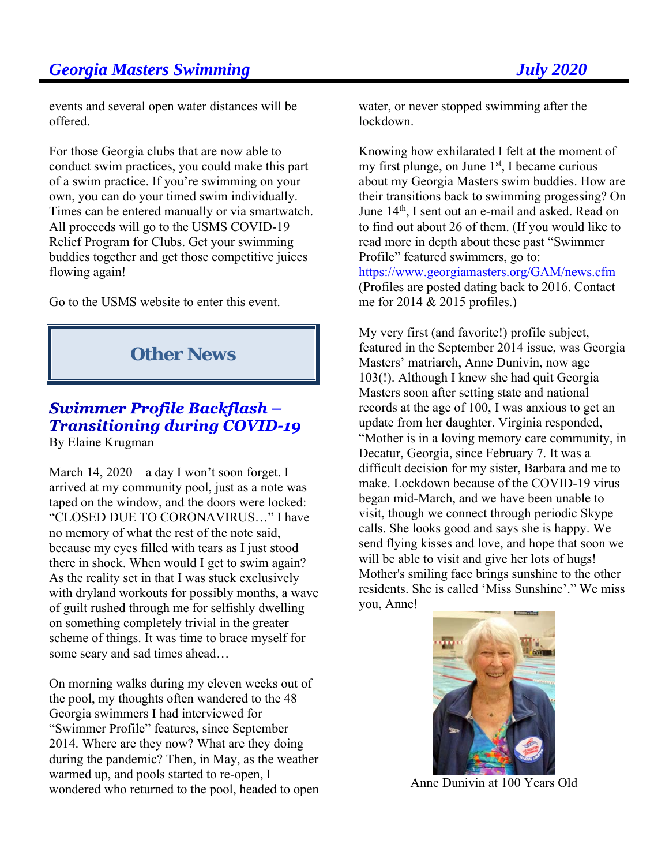events and several open water distances will be offered.

For those Georgia clubs that are now able to conduct swim practices, you could make this part of a swim practice. If you're swimming on your own, you can do your timed swim individually. Times can be entered manually or via smartwatch. All proceeds will go to the USMS COVID-19 Relief Program for Clubs. Get your swimming buddies together and get those competitive juices flowing again!

Go to the USMS website to enter this event.

# **Other News**

# Swimmer Profile Backflash -**Transitioning during COVID-19** By Elaine Krugman

March 14, 2020—a day I won't soon forget. I arrived at my community pool, just as a note was taped on the window, and the doors were locked: "CLOSED DUE TO CORONAVIRUS…" I have no memory of what the rest of the note said, because my eyes filled with tears as I just stood there in shock. When would I get to swim again? As the reality set in that I was stuck exclusively with dryland workouts for possibly months, a wave of guilt rushed through me for selfishly dwelling on something completely trivial in the greater scheme of things. It was time to brace myself for some scary and sad times ahead…

On morning walks during my eleven weeks out of the pool, my thoughts often wandered to the 48 Georgia swimmers I had interviewed for "Swimmer Profile" features, since September 2014. Where are they now? What are they doing during the pandemic? Then, in May, as the weather warmed up, and pools started to re-open, I wondered who returned to the pool, headed to open water, or never stopped swimming after the lockdown.

Knowing how exhilarated I felt at the moment of my first plunge, on June  $1<sup>st</sup>$ , I became curious about my Georgia Masters swim buddies. How are their transitions back to swimming progessing? On June 14<sup>th</sup>, I sent out an e-mail and asked. Read on to find out about 26 of them. (If you would like to read more in depth about these past "Swimmer Profile" featured swimmers, go to: https://www.georgiamasters.org/GAM/news.cfm (Profiles are posted dating back to 2016. Contact me for 2014 & 2015 profiles.)

My very first (and favorite!) profile subject, featured in the September 2014 issue, was Georgia Masters' matriarch, Anne Dunivin, now age 103(!). Although I knew she had quit Georgia Masters soon after setting state and national records at the age of 100, I was anxious to get an update from her daughter. Virginia responded, "Mother is in a loving memory care community, in Decatur, Georgia, since February 7. It was a difficult decision for my sister, Barbara and me to make. Lockdown because of the COVID-19 virus began mid-March, and we have been unable to visit, though we connect through periodic Skype calls. She looks good and says she is happy. We send flying kisses and love, and hope that soon we will be able to visit and give her lots of hugs! Mother's smiling face brings sunshine to the other residents. She is called 'Miss Sunshine'." We miss you, Anne!



Anne Dunivin at 100 Years Old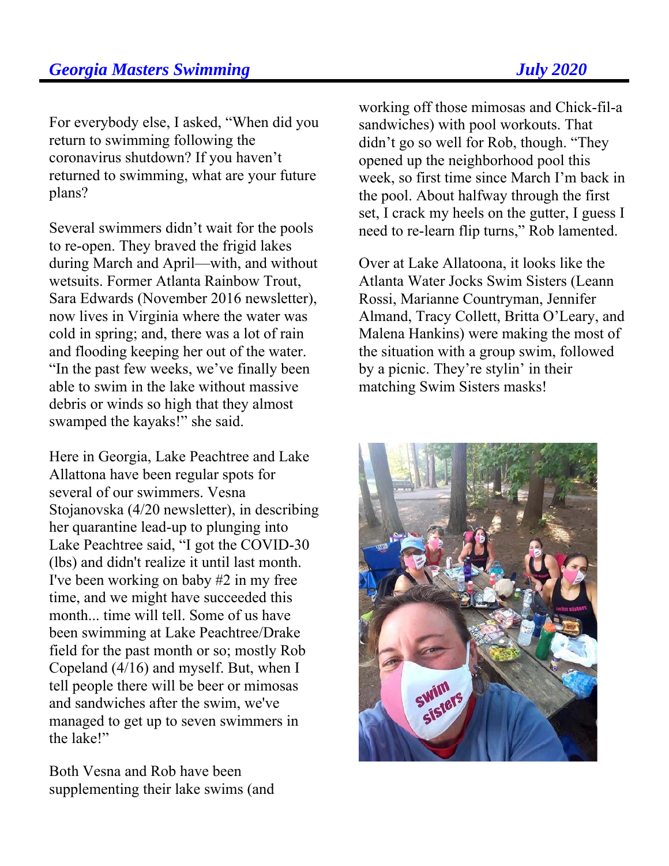For everybody else, I asked, "When did you return to swimming following the coronavirus shutdown? If you haven't returned to swimming, what are your future plans?

Several swimmers didn't wait for the pools to re-open. They braved the frigid lakes during March and April—with, and without wetsuits. Former Atlanta Rainbow Trout, Sara Edwards (November 2016 newsletter), now lives in Virginia where the water was cold in spring; and, there was a lot of rain and flooding keeping her out of the water. "In the past few weeks, we've finally been able to swim in the lake without massive debris or winds so high that they almost swamped the kayaks!" she said.

Here in Georgia, Lake Peachtree and Lake Allattona have been regular spots for several of our swimmers. Vesna Stojanovska (4/20 newsletter), in describing her quarantine lead-up to plunging into Lake Peachtree said, "I got the COVID-30 (lbs) and didn't realize it until last month. I've been working on baby #2 in my free time, and we might have succeeded this month... time will tell. Some of us have been swimming at Lake Peachtree/Drake field for the past month or so; mostly Rob Copeland (4/16) and myself. But, when I tell people there will be beer or mimosas and sandwiches after the swim, we've managed to get up to seven swimmers in the lake!"

Both Vesna and Rob have been supplementing their lake swims (and

working off those mimosas and Chick-fil-a sandwiches) with pool workouts. That didn't go so well for Rob, though. "They opened up the neighborhood pool this week, so first time since March I'm back in the pool. About halfway through the first set, I crack my heels on the gutter, I guess I need to re-learn flip turns," Rob lamented.

Over at Lake Allatoona, it looks like the Atlanta Water Jocks Swim Sisters (Leann Rossi, Marianne Countryman, Jennifer Almand, Tracy Collett, Britta O'Leary, and Malena Hankins) were making the most of the situation with a group swim, followed by a picnic. They're stylin' in their matching Swim Sisters masks!

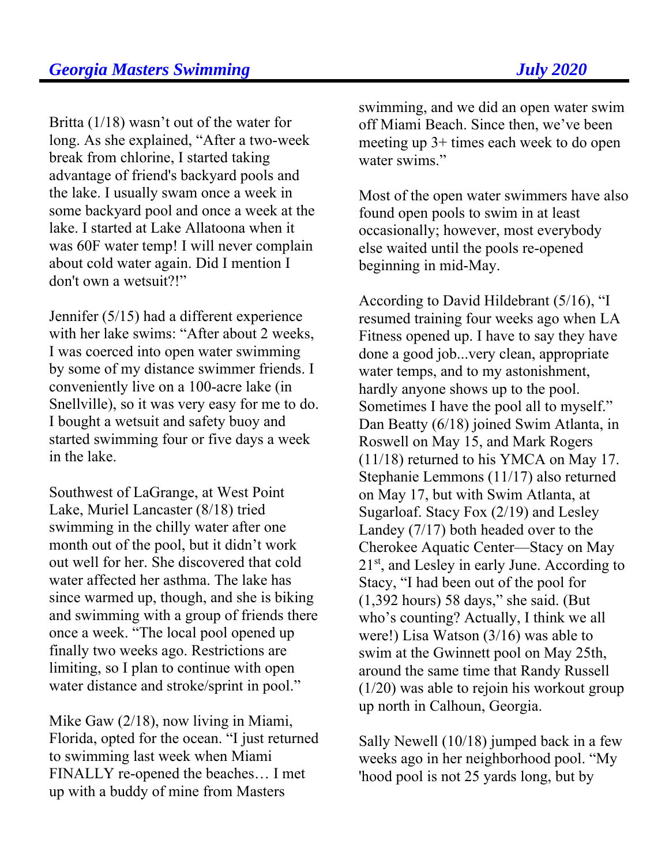Britta (1/18) wasn't out of the water for long. As she explained, "After a two-week break from chlorine, I started taking advantage of friend's backyard pools and the lake. I usually swam once a week in some backyard pool and once a week at the lake. I started at Lake Allatoona when it was 60F water temp! I will never complain about cold water again. Did I mention I don't own a wetsuit?!"

Jennifer (5/15) had a different experience with her lake swims: "After about 2 weeks, I was coerced into open water swimming by some of my distance swimmer friends. I conveniently live on a 100-acre lake (in Snellville), so it was very easy for me to do. I bought a wetsuit and safety buoy and started swimming four or five days a week in the lake.

Southwest of LaGrange, at West Point Lake, Muriel Lancaster (8/18) tried swimming in the chilly water after one month out of the pool, but it didn't work out well for her. She discovered that cold water affected her asthma. The lake has since warmed up, though, and she is biking and swimming with a group of friends there once a week. "The local pool opened up finally two weeks ago. Restrictions are limiting, so I plan to continue with open water distance and stroke/sprint in pool."

Mike Gaw (2/18), now living in Miami, Florida, opted for the ocean. "I just returned to swimming last week when Miami FINALLY re-opened the beaches… I met up with a buddy of mine from Masters

swimming, and we did an open water swim off Miami Beach. Since then, we've been meeting up 3+ times each week to do open water swims."

Most of the open water swimmers have also found open pools to swim in at least occasionally; however, most everybody else waited until the pools re-opened beginning in mid-May.

According to David Hildebrant (5/16), "I resumed training four weeks ago when LA Fitness opened up. I have to say they have done a good job...very clean, appropriate water temps, and to my astonishment, hardly anyone shows up to the pool. Sometimes I have the pool all to myself." Dan Beatty (6/18) joined Swim Atlanta, in Roswell on May 15, and Mark Rogers (11/18) returned to his YMCA on May 17. Stephanie Lemmons (11/17) also returned on May 17, but with Swim Atlanta, at Sugarloaf. Stacy Fox (2/19) and Lesley Landey (7/17) both headed over to the Cherokee Aquatic Center—Stacy on May 21<sup>st</sup>, and Lesley in early June. According to Stacy, "I had been out of the pool for (1,392 hours) 58 days," she said. (But who's counting? Actually, I think we all were!) Lisa Watson (3/16) was able to swim at the Gwinnett pool on May 25th, around the same time that Randy Russell (1/20) was able to rejoin his workout group up north in Calhoun, Georgia.

Sally Newell (10/18) jumped back in a few weeks ago in her neighborhood pool. "My 'hood pool is not 25 yards long, but by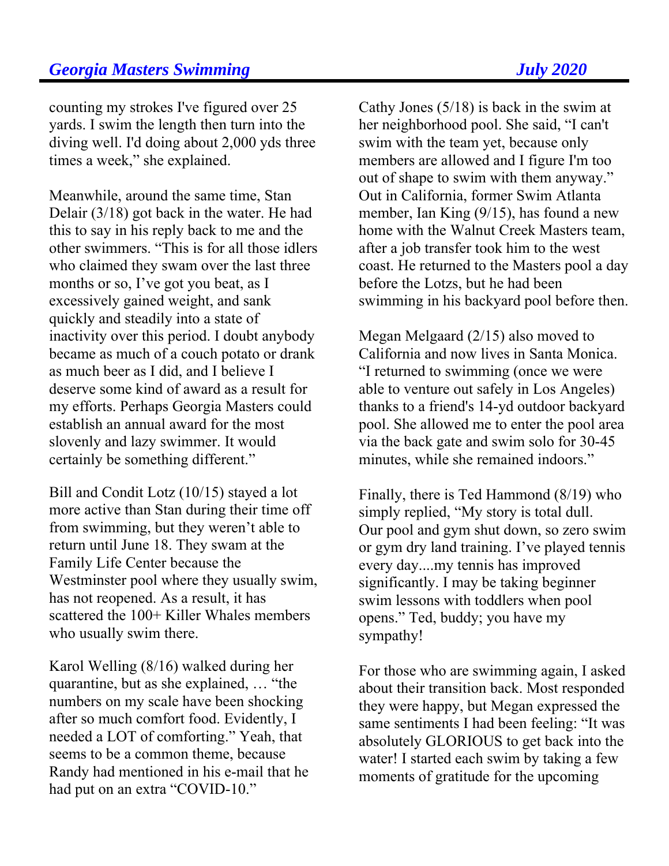counting my strokes I've figured over 25 yards. I swim the length then turn into the diving well. I'd doing about 2,000 yds three times a week," she explained.

Meanwhile, around the same time, Stan Delair (3/18) got back in the water. He had this to say in his reply back to me and the other swimmers. "This is for all those idlers who claimed they swam over the last three months or so, I've got you beat, as I excessively gained weight, and sank quickly and steadily into a state of inactivity over this period. I doubt anybody became as much of a couch potato or drank as much beer as I did, and I believe I deserve some kind of award as a result for my efforts. Perhaps Georgia Masters could establish an annual award for the most slovenly and lazy swimmer. It would certainly be something different."

Bill and Condit Lotz (10/15) stayed a lot more active than Stan during their time off from swimming, but they weren't able to return until June 18. They swam at the Family Life Center because the Westminster pool where they usually swim, has not reopened. As a result, it has scattered the 100+ Killer Whales members who usually swim there.

Karol Welling (8/16) walked during her quarantine, but as she explained, … "the numbers on my scale have been shocking after so much comfort food. Evidently, I needed a LOT of comforting." Yeah, that seems to be a common theme, because Randy had mentioned in his e-mail that he had put on an extra "COVID-10."

Cathy Jones (5/18) is back in the swim at her neighborhood pool. She said, "I can't swim with the team yet, because only members are allowed and I figure I'm too out of shape to swim with them anyway." Out in California, former Swim Atlanta member, Ian King (9/15), has found a new home with the Walnut Creek Masters team, after a job transfer took him to the west coast. He returned to the Masters pool a day before the Lotzs, but he had been swimming in his backyard pool before then.

Megan Melgaard (2/15) also moved to California and now lives in Santa Monica. "I returned to swimming (once we were able to venture out safely in Los Angeles) thanks to a friend's 14-yd outdoor backyard pool. She allowed me to enter the pool area via the back gate and swim solo for 30-45 minutes, while she remained indoors."

Finally, there is Ted Hammond (8/19) who simply replied, "My story is total dull. Our pool and gym shut down, so zero swim or gym dry land training. I've played tennis every day....my tennis has improved significantly. I may be taking beginner swim lessons with toddlers when pool opens." Ted, buddy; you have my sympathy!

For those who are swimming again, I asked about their transition back. Most responded they were happy, but Megan expressed the same sentiments I had been feeling: "It was absolutely GLORIOUS to get back into the water! I started each swim by taking a few moments of gratitude for the upcoming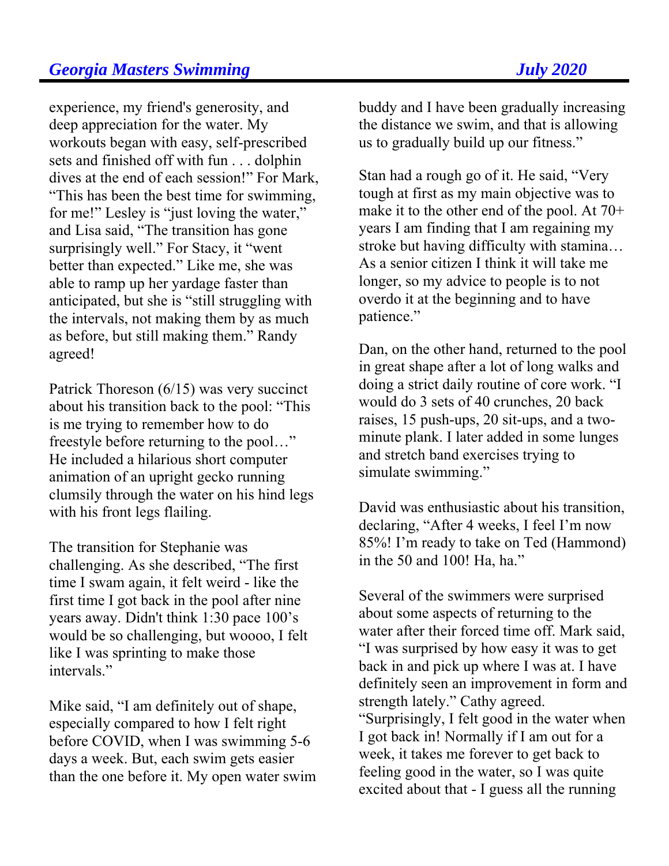experience, my friend's generosity, and deep appreciation for the water. My workouts began with easy, self-prescribed sets and finished off with fun . . . dolphin dives at the end of each session!" For Mark, "This has been the best time for swimming, for me!" Lesley is "just loving the water," and Lisa said, "The transition has gone surprisingly well." For Stacy, it "went better than expected." Like me, she was able to ramp up her yardage faster than anticipated, but she is "still struggling with the intervals, not making them by as much as before, but still making them." Randy agreed!

Patrick Thoreson (6/15) was very succinct about his transition back to the pool: "This is me trying to remember how to do freestyle before returning to the pool…" He included a hilarious short computer animation of an upright gecko running clumsily through the water on his hind legs with his front legs flailing.

The transition for Stephanie was challenging. As she described, "The first time I swam again, it felt weird - like the first time I got back in the pool after nine years away. Didn't think 1:30 pace 100's would be so challenging, but woooo, I felt like I was sprinting to make those intervals"

Mike said, "I am definitely out of shape, especially compared to how I felt right before COVID, when I was swimming 5-6 days a week. But, each swim gets easier than the one before it. My open water swim buddy and I have been gradually increasing the distance we swim, and that is allowing us to gradually build up our fitness."

Stan had a rough go of it. He said, "Very tough at first as my main objective was to make it to the other end of the pool. At 70+ years I am finding that I am regaining my stroke but having difficulty with stamina… As a senior citizen I think it will take me longer, so my advice to people is to not overdo it at the beginning and to have patience."

Dan, on the other hand, returned to the pool in great shape after a lot of long walks and doing a strict daily routine of core work. "I would do 3 sets of 40 crunches, 20 back raises, 15 push-ups, 20 sit-ups, and a twominute plank. I later added in some lunges and stretch band exercises trying to simulate swimming."

David was enthusiastic about his transition, declaring, "After 4 weeks, I feel I'm now 85%! I'm ready to take on Ted (Hammond) in the 50 and 100! Ha, ha."

Several of the swimmers were surprised about some aspects of returning to the water after their forced time off. Mark said, "I was surprised by how easy it was to get back in and pick up where I was at. I have definitely seen an improvement in form and strength lately." Cathy agreed. "Surprisingly, I felt good in the water when I got back in! Normally if I am out for a week, it takes me forever to get back to feeling good in the water, so I was quite excited about that - I guess all the running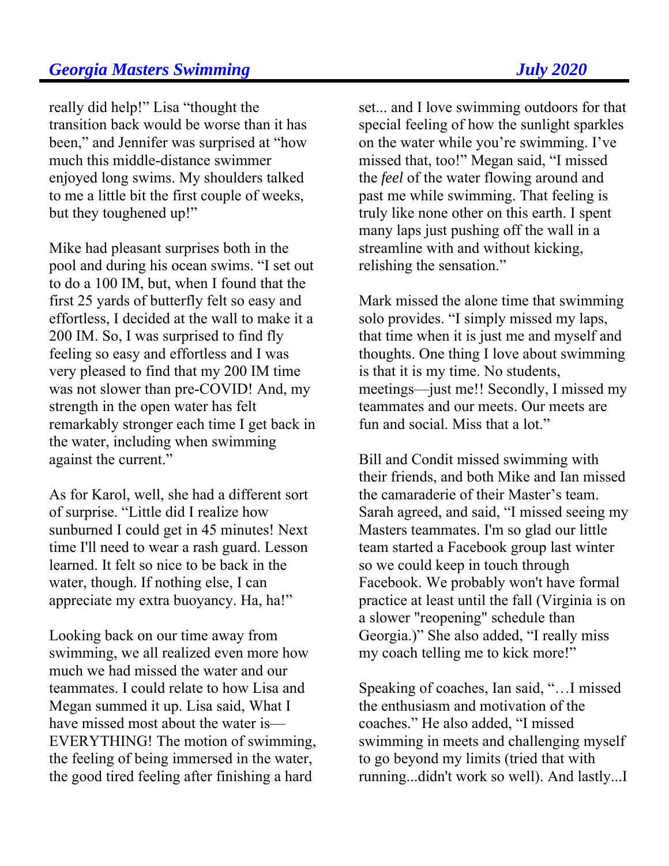really did help!" Lisa "thought the transition back would be worse than it has been," and Jennifer was surprised at "how much this middle-distance swimmer enjoyed long swims. My shoulders talked to me a little bit the first couple of weeks, but they toughened up!"

Mike had pleasant surprises both in the pool and during his ocean swims. "I set out to do a 100 IM, but, when I found that the first 25 yards of butterfly felt so easy and effortless, I decided at the wall to make it a 200 IM. So, I was surprised to find fly feeling so easy and effortless and I was very pleased to find that my 200 IM time was not slower than pre-COVID! And, my strength in the open water has felt remarkably stronger each time I get back in the water, including when swimming against the current."

As for Karol, well, she had a different sort of surprise. "Little did I realize how sunburned I could get in 45 minutes! Next time I'll need to wear a rash guard. Lesson learned. It felt so nice to be back in the water, though. If nothing else, I can appreciate my extra buoyancy. Ha, ha!"

Looking back on our time away from swimming, we all realized even more how much we had missed the water and our teammates. I could relate to how Lisa and Megan summed it up. Lisa said, What I have missed most about the water is— EVERYTHING! The motion of swimming, the feeling of being immersed in the water, the good tired feeling after finishing a hard

set... and I love swimming outdoors for that special feeling of how the sunlight sparkles on the water while you're swimming. I've missed that, too!" Megan said, "I missed the *feel* of the water flowing around and past me while swimming. That feeling is truly like none other on this earth. I spent many laps just pushing off the wall in a streamline with and without kicking, relishing the sensation."

Mark missed the alone time that swimming solo provides. "I simply missed my laps, that time when it is just me and myself and thoughts. One thing I love about swimming is that it is my time. No students, meetings—just me!! Secondly, I missed my teammates and our meets. Our meets are fun and social. Miss that a lot."

Bill and Condit missed swimming with their friends, and both Mike and Ian missed the camaraderie of their Master's team. Sarah agreed, and said, "I missed seeing my Masters teammates. I'm so glad our little team started a Facebook group last winter so we could keep in touch through Facebook. We probably won't have formal practice at least until the fall (Virginia is on a slower "reopening" schedule than Georgia.)" She also added, "I really miss my coach telling me to kick more!"

Speaking of coaches, Ian said, "…I missed the enthusiasm and motivation of the coaches." He also added, "I missed swimming in meets and challenging myself to go beyond my limits (tried that with running...didn't work so well). And lastly...I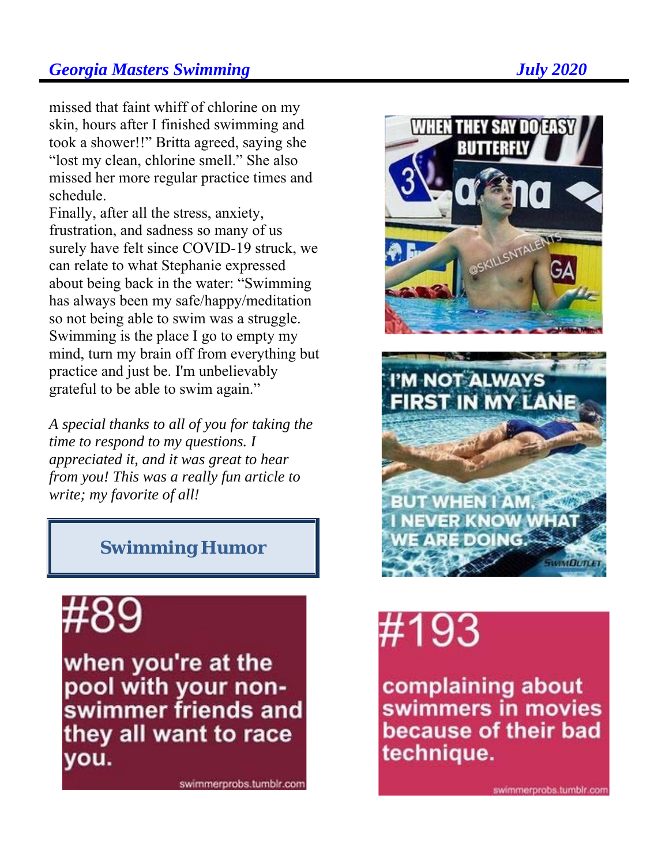missed that faint whiff of chlorine on my skin, hours after I finished swimming and took a shower!!" Britta agreed, saying she "lost my clean, chlorine smell." She also missed her more regular practice times and schedule.

Finally, after all the stress, anxiety, frustration, and sadness so many of us surely have felt since COVID-19 struck, we can relate to what Stephanie expressed about being back in the water: "Swimming has always been my safe/happy/meditation so not being able to swim was a struggle. Swimming is the place I go to empty my mind, turn my brain off from everything but practice and just be. I'm unbelievably grateful to be able to swim again."

*A special thanks to all of you for taking the time to respond to my questions. I appreciated it, and it was great to hear from you! This was a really fun article to write; my favorite of all!* 

# **Swimming Humor**

when you're at the pool with your nonswimmer friends and they all want to race you.

swimmerprobs.tumblr.com





# #193

complaining about swimmers in movies because of their bad technique.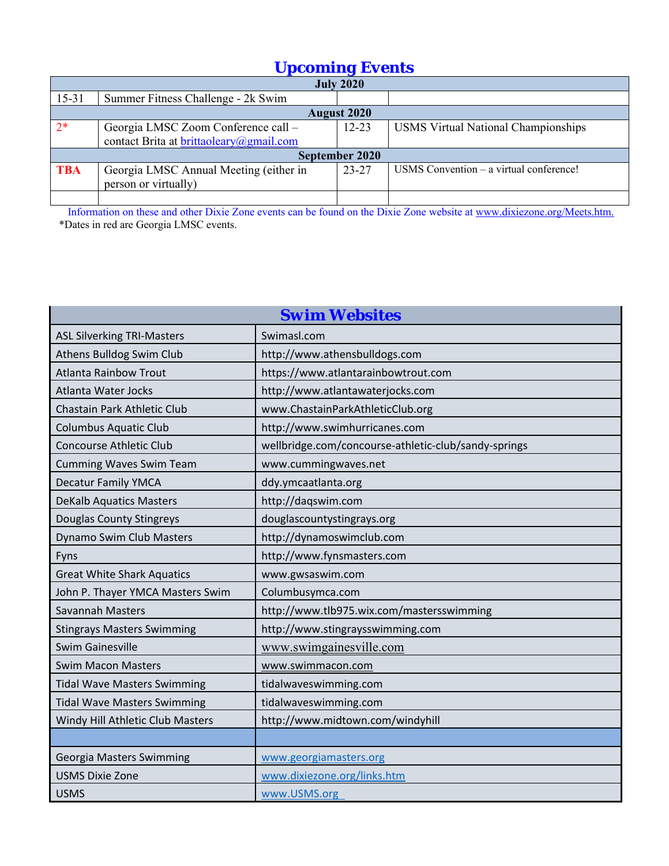# *Upcoming Events*

|            | <b>July 2020</b>                        |                    |                                            |  |  |  |  |  |  |  |
|------------|-----------------------------------------|--------------------|--------------------------------------------|--|--|--|--|--|--|--|
| $15 - 31$  | Summer Fitness Challenge - 2k Swim      |                    |                                            |  |  |  |  |  |  |  |
|            |                                         | <b>August 2020</b> |                                            |  |  |  |  |  |  |  |
| $2*$       | Georgia LMSC Zoom Conference call -     | $12 - 23$          | <b>USMS Virtual National Championships</b> |  |  |  |  |  |  |  |
|            | contact Brita at brittaoleary@gmail.com |                    |                                            |  |  |  |  |  |  |  |
|            |                                         | September 2020     |                                            |  |  |  |  |  |  |  |
| <b>TBA</b> | Georgia LMSC Annual Meeting (either in  | $23 - 27$          | USMS Convention - a virtual conference!    |  |  |  |  |  |  |  |
|            | person or virtually)                    |                    |                                            |  |  |  |  |  |  |  |
|            |                                         |                    |                                            |  |  |  |  |  |  |  |

 Information on these and other Dixie Zone events can be found on the Dixie Zone website at www.dixiezone.org/Meets.htm. \*Dates in red are Georgia LMSC events.

| <b>Swim Websites</b>               |                                                      |  |  |  |  |
|------------------------------------|------------------------------------------------------|--|--|--|--|
| <b>ASL Silverking TRI-Masters</b>  | Swimasl.com                                          |  |  |  |  |
| Athens Bulldog Swim Club           | http://www.athensbulldogs.com                        |  |  |  |  |
| <b>Atlanta Rainbow Trout</b>       | https://www.atlantarainbowtrout.com                  |  |  |  |  |
| <b>Atlanta Water Jocks</b>         | http://www.atlantawaterjocks.com                     |  |  |  |  |
| Chastain Park Athletic Club        | www.ChastainParkAthleticClub.org                     |  |  |  |  |
| <b>Columbus Aquatic Club</b>       | http://www.swimhurricanes.com                        |  |  |  |  |
| <b>Concourse Athletic Club</b>     | wellbridge.com/concourse-athletic-club/sandy-springs |  |  |  |  |
| <b>Cumming Waves Swim Team</b>     | www.cummingwaves.net                                 |  |  |  |  |
| <b>Decatur Family YMCA</b>         | ddy.ymcaatlanta.org                                  |  |  |  |  |
| <b>DeKalb Aquatics Masters</b>     | http://daqswim.com                                   |  |  |  |  |
| <b>Douglas County Stingreys</b>    | douglascountystingrays.org                           |  |  |  |  |
| Dynamo Swim Club Masters           | http://dynamoswimclub.com                            |  |  |  |  |
| Fyns                               | http://www.fynsmasters.com                           |  |  |  |  |
| <b>Great White Shark Aquatics</b>  | www.gwsaswim.com                                     |  |  |  |  |
| John P. Thayer YMCA Masters Swim   | Columbusymca.com                                     |  |  |  |  |
| Savannah Masters                   | http://www.tlb975.wix.com/mastersswimming            |  |  |  |  |
| <b>Stingrays Masters Swimming</b>  | http://www.stingraysswimming.com                     |  |  |  |  |
| <b>Swim Gainesville</b>            | www.swimgainesville.com                              |  |  |  |  |
| <b>Swim Macon Masters</b>          | www.swimmacon.com                                    |  |  |  |  |
| <b>Tidal Wave Masters Swimming</b> | tidalwaveswimming.com                                |  |  |  |  |
| <b>Tidal Wave Masters Swimming</b> | tidalwaveswimming.com                                |  |  |  |  |
| Windy Hill Athletic Club Masters   | http://www.midtown.com/windyhill                     |  |  |  |  |
|                                    |                                                      |  |  |  |  |
| <b>Georgia Masters Swimming</b>    | www.georgiamasters.org                               |  |  |  |  |
| <b>USMS Dixie Zone</b>             | www.dixiezone.org/links.htm                          |  |  |  |  |
| <b>USMS</b>                        | www.USMS.org                                         |  |  |  |  |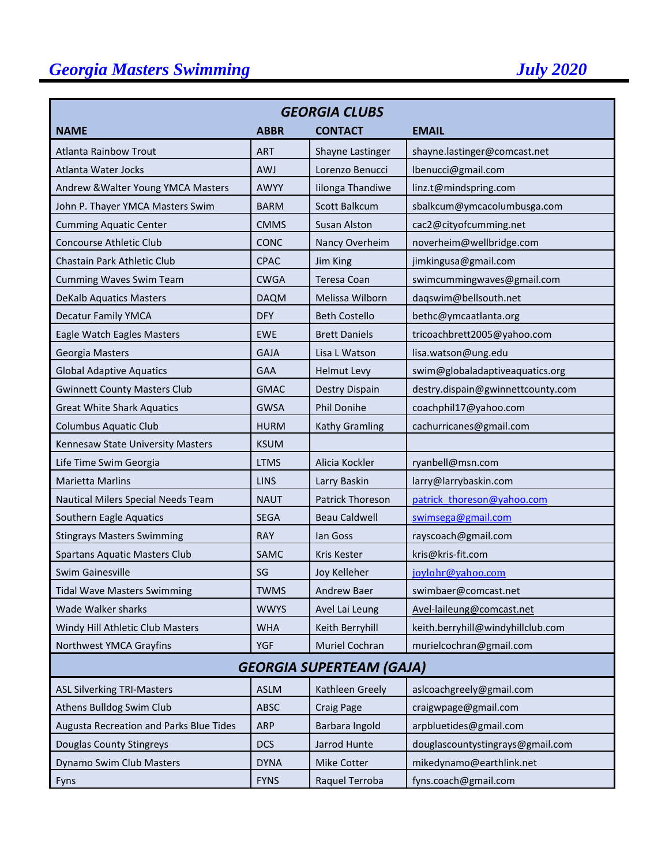| <b>GEORGIA CLUBS</b>                    |             |                      |                                   |  |  |  |  |  |
|-----------------------------------------|-------------|----------------------|-----------------------------------|--|--|--|--|--|
| <b>NAME</b>                             | <b>ABBR</b> | <b>CONTACT</b>       | <b>EMAIL</b>                      |  |  |  |  |  |
| Atlanta Rainbow Trout                   | <b>ART</b>  | Shayne Lastinger     | shayne.lastinger@comcast.net      |  |  |  |  |  |
| Atlanta Water Jocks                     | <b>AWJ</b>  | Lorenzo Benucci      | lbenucci@gmail.com                |  |  |  |  |  |
| Andrew & Walter Young YMCA Masters      | AWYY        | Iilonga Thandiwe     | linz.t@mindspring.com             |  |  |  |  |  |
| John P. Thayer YMCA Masters Swim        | <b>BARM</b> | <b>Scott Balkcum</b> | sbalkcum@ymcacolumbusga.com       |  |  |  |  |  |
| <b>Cumming Aquatic Center</b>           | <b>CMMS</b> | Susan Alston         | cac2@cityofcumming.net            |  |  |  |  |  |
| <b>Concourse Athletic Club</b>          | CONC        | Nancy Overheim       | noverheim@wellbridge.com          |  |  |  |  |  |
| Chastain Park Athletic Club             | <b>CPAC</b> | Jim King             | jimkingusa@gmail.com              |  |  |  |  |  |
| <b>Cumming Waves Swim Team</b>          | <b>CWGA</b> | Teresa Coan          | swimcummingwaves@gmail.com        |  |  |  |  |  |
| <b>DeKalb Aquatics Masters</b>          | <b>DAQM</b> | Melissa Wilborn      | daqswim@bellsouth.net             |  |  |  |  |  |
| <b>Decatur Family YMCA</b>              | <b>DFY</b>  | <b>Beth Costello</b> | bethc@ymcaatlanta.org             |  |  |  |  |  |
| Eagle Watch Eagles Masters              | <b>EWE</b>  | <b>Brett Daniels</b> | tricoachbrett2005@yahoo.com       |  |  |  |  |  |
| Georgia Masters                         | <b>GAJA</b> | Lisa L Watson        | lisa.watson@ung.edu               |  |  |  |  |  |
| <b>Global Adaptive Aquatics</b>         | <b>GAA</b>  | <b>Helmut Levy</b>   | swim@globaladaptiveaquatics.org   |  |  |  |  |  |
| <b>Gwinnett County Masters Club</b>     | <b>GMAC</b> | Destry Dispain       | destry.dispain@gwinnettcounty.com |  |  |  |  |  |
| <b>Great White Shark Aquatics</b>       | <b>GWSA</b> | <b>Phil Donihe</b>   | coachphil17@yahoo.com             |  |  |  |  |  |
| <b>Columbus Aquatic Club</b>            | <b>HURM</b> | Kathy Gramling       | cachurricanes@gmail.com           |  |  |  |  |  |
| Kennesaw State University Masters       | <b>KSUM</b> |                      |                                   |  |  |  |  |  |
| Life Time Swim Georgia                  | <b>LTMS</b> | Alicia Kockler       | ryanbell@msn.com                  |  |  |  |  |  |
| <b>Marietta Marlins</b>                 | <b>LINS</b> | Larry Baskin         | larry@larrybaskin.com             |  |  |  |  |  |
| Nautical Milers Special Needs Team      | <b>NAUT</b> | Patrick Thoreson     | patrick thoreson@yahoo.com        |  |  |  |  |  |
| Southern Eagle Aquatics                 | <b>SEGA</b> | <b>Beau Caldwell</b> | swimsega@gmail.com                |  |  |  |  |  |
| <b>Stingrays Masters Swimming</b>       | <b>RAY</b>  | lan Goss             | rayscoach@gmail.com               |  |  |  |  |  |
| <b>Spartans Aquatic Masters Club</b>    | SAMC        | Kris Kester          | kris@kris-fit.com                 |  |  |  |  |  |
| Swim Gainesville                        | SG          | Joy Kelleher         | joylohr@yahoo.com                 |  |  |  |  |  |
| <b>Tidal Wave Masters Swimming</b>      | <b>TWMS</b> | Andrew Baer          | swimbaer@comcast.net              |  |  |  |  |  |
| Wade Walker sharks                      | <b>WWYS</b> | Avel Lai Leung       | Avel-laileung@comcast.net         |  |  |  |  |  |
| Windy Hill Athletic Club Masters        | <b>WHA</b>  | Keith Berryhill      | keith.berryhill@windyhillclub.com |  |  |  |  |  |
| Northwest YMCA Grayfins                 | <b>YGF</b>  | Muriel Cochran       | murielcochran@gmail.com           |  |  |  |  |  |
| <b>GEORGIA SUPERTEAM (GAJA)</b>         |             |                      |                                   |  |  |  |  |  |
| <b>ASL Silverking TRI-Masters</b>       | <b>ASLM</b> | Kathleen Greely      | aslcoachgreely@gmail.com          |  |  |  |  |  |
| Athens Bulldog Swim Club                | ABSC        | <b>Craig Page</b>    | craigwpage@gmail.com              |  |  |  |  |  |
| Augusta Recreation and Parks Blue Tides | <b>ARP</b>  | Barbara Ingold       | arpbluetides@gmail.com            |  |  |  |  |  |
| Douglas County Stingreys                | <b>DCS</b>  | Jarrod Hunte         | douglascountystingrays@gmail.com  |  |  |  |  |  |
| Dynamo Swim Club Masters                | <b>DYNA</b> | Mike Cotter          | mikedynamo@earthlink.net          |  |  |  |  |  |
| Fyns                                    | <b>FYNS</b> | Raquel Terroba       | fyns.coach@gmail.com              |  |  |  |  |  |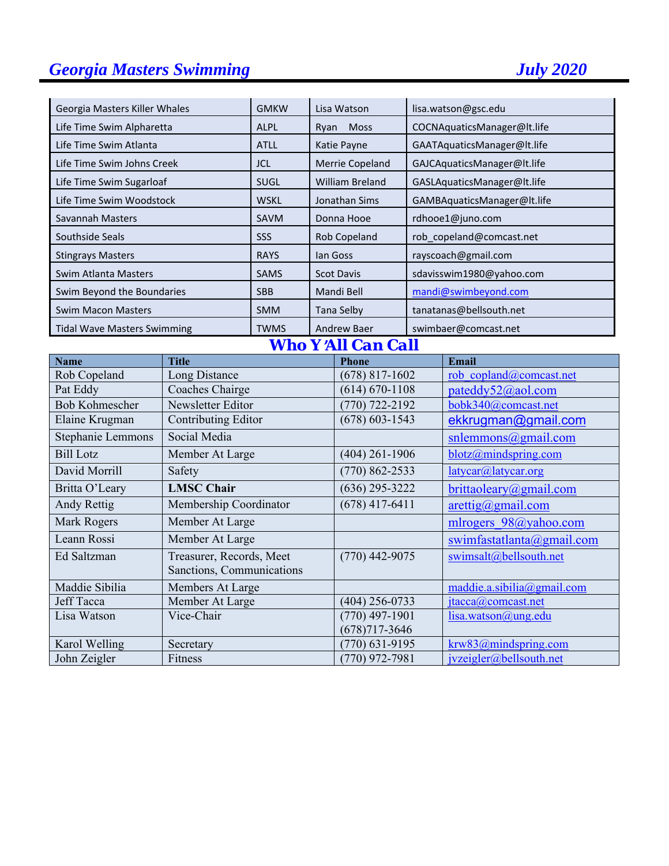| Georgia Masters Killer Whales                                        |                                    | <b>GMKW</b>               |                    | Lisa Watson                      |                        | lisa.watson@gsc.edu                |  |
|----------------------------------------------------------------------|------------------------------------|---------------------------|--------------------|----------------------------------|------------------------|------------------------------------|--|
| Life Time Swim Alpharetta                                            |                                    | <b>ALPL</b>               | Ryan               | Moss                             |                        | COCNAquaticsManager@lt.life        |  |
| Life Time Swim Atlanta                                               |                                    | <b>ATLL</b>               | Katie Payne        |                                  |                        | GAATAquaticsManager@lt.life        |  |
| Life Time Swim Johns Creek                                           |                                    | <b>JCL</b>                |                    | Merrie Copeland                  |                        | GAJCAquaticsManager@lt.life        |  |
| Life Time Swim Sugarloaf                                             |                                    | <b>SUGL</b>               |                    | William Breland                  |                        | GASLAquaticsManager@lt.life        |  |
| Life Time Swim Woodstock                                             |                                    | <b>WSKL</b>               |                    | Jonathan Sims                    |                        | GAMBAquaticsManager@lt.life        |  |
| Savannah Masters                                                     |                                    | SAVM                      |                    | Donna Hooe                       |                        | rdhooe1@juno.com                   |  |
| <b>Southside Seals</b>                                               |                                    | SSS                       |                    | Rob Copeland                     |                        | rob_copeland@comcast.net           |  |
| <b>Stingrays Masters</b>                                             |                                    | <b>RAYS</b>               |                    | lan Goss                         |                        | rayscoach@gmail.com                |  |
| Swim Atlanta Masters                                                 |                                    | <b>SAMS</b>               |                    | <b>Scot Davis</b>                |                        | sdavisswim1980@yahoo.com           |  |
| Swim Beyond the Boundaries                                           |                                    | <b>SBB</b>                |                    | Mandi Bell                       |                        | mandi@swimbeyond.com               |  |
|                                                                      |                                    |                           |                    |                                  |                        |                                    |  |
| <b>Swim Macon Masters</b>                                            |                                    | <b>SMM</b><br><b>TWMS</b> |                    | <b>Tana Selby</b>                |                        | tanatanas@bellsouth.net            |  |
|                                                                      | <b>Tidal Wave Masters Swimming</b> |                           |                    | <b>Andrew Baer</b>               |                        | swimbaer@comcast.net               |  |
|                                                                      |                                    |                           |                    | <b>Who Y'All Can Call</b>        |                        |                                    |  |
| <b>Name</b><br>Rob Copeland                                          | <b>Title</b><br>Long Distance      |                           |                    | <b>Phone</b><br>$(678)$ 817-1602 |                        | Email<br>rob copland@comcast.net   |  |
| Pat Eddy                                                             | Coaches Chairge                    |                           |                    | $(614) 670 - 1108$               |                        | pateddy52@aol.com                  |  |
| <b>Bob Kohmescher</b>                                                | Newsletter Editor                  |                           | $(770)$ 722-2192   |                                  |                        | bobk340@comcast.net                |  |
| Elaine Krugman                                                       | Contributing Editor                |                           | $(678) 603 - 1543$ |                                  |                        | ekkrugman@gmail.com                |  |
| Stephanie Lemmons                                                    | Social Media                       |                           |                    |                                  |                        | $s$ nlemmons@gmail.com             |  |
| <b>Bill Lotz</b>                                                     | Member At Large                    |                           |                    | $(404)$ 261-1906                 |                        | blotz@mindspring.com               |  |
| David Morrill                                                        | Safety                             |                           |                    | $(770) 862 - 2533$               |                        | latycar@latycar.org                |  |
| Britta O'Leary                                                       | <b>LMSC</b> Chair                  |                           |                    | $(636)$ 295-3222                 |                        | brittaoleary@gmail.com             |  |
| <b>Andy Rettig</b>                                                   | Membership Coordinator             |                           |                    | $(678)$ 417-6411                 |                        | $\arcti\frac{g}{\omega}$ gmail.com |  |
| <b>Mark Rogers</b>                                                   | Member At Large                    |                           |                    |                                  |                        | mlrogers 98@yahoo.com              |  |
| Leann Rossi                                                          | Member At Large                    |                           |                    |                                  |                        | swimfastatlanta@gmail.com          |  |
| Ed Saltzman<br>Treasurer, Records, Meet<br>Sanctions, Communications |                                    |                           | $(770)$ 442-9075   |                                  | swimsalt@bellsouth.net |                                    |  |
| Maddie Sibilia<br>Members At Large                                   |                                    |                           |                    |                                  |                        | maddie.a.sibilia@gmail.com         |  |
| <b>Jeff Tacca</b>                                                    | Member At Large                    |                           |                    | $(404)$ 256-0733                 |                        | $\text{jtacca}(a)$ comcast.net     |  |
| Lisa Watson                                                          | Vice-Chair                         |                           |                    | $(770)$ 497-1901                 |                        | lisa.watson@ung.edu                |  |
|                                                                      |                                    |                           |                    | $(678)717 - 3646$                |                        |                                    |  |
| Karol Welling                                                        | Secretary                          |                           |                    | $(770)$ 631-9195                 |                        | krw83@mindspring.com               |  |
| John Zeigler                                                         | Fitness                            |                           |                    | $(770)$ 972-7981                 |                        | jvzeigler@bellsouth.net            |  |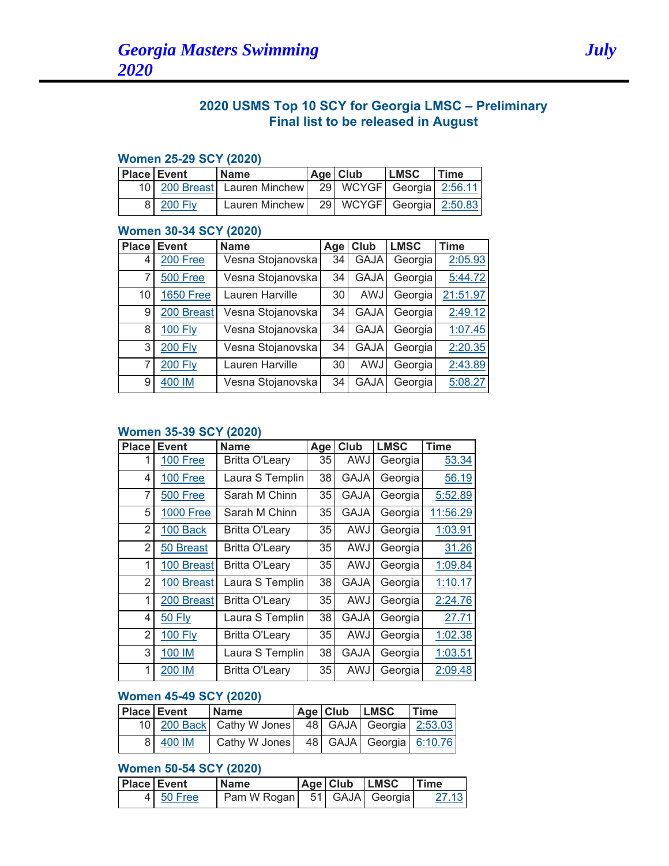# **2020 USMS Top 10 SCY for Georgia LMSC – Preliminary Final list to be released in August**

#### **Women 25-29 SCY (2020)**

| <b>Place Event</b> |           | <b>Name</b>                      | Age Club                 | <b>LMSC</b> | Time |
|--------------------|-----------|----------------------------------|--------------------------|-------------|------|
|                    |           | 10   200 Breast   Lauren Minchew | 29 WCYGF Georgia 2:56.11 |             |      |
|                    | 8 200 Fly | Lauren Minchew                   | 29 WCYGF Georgia 2:50.83 |             |      |

#### **Women 30-34 SCY (2020)**

| <b>Place</b> | <b>Event</b>     | <b>Name</b>       | Age | Club        | <b>LMSC</b> | <b>Time</b> |
|--------------|------------------|-------------------|-----|-------------|-------------|-------------|
| 4            | 200 Free         | Vesna Stojanovska | 34  | <b>GAJA</b> | Georgia     | 2:05.93     |
| 7            | 500 Free         | Vesna Stojanovska | 34  | <b>GAJA</b> | Georgia     | 5:44.72     |
| 10           | <b>1650 Free</b> | Lauren Harville   | 30  | AWJ         | Georgia     | 21:51.97    |
| 9            | 200 Breast       | Vesna Stojanovska | 34  | <b>GAJA</b> | Georgia     | 2:49.12     |
| 8            | <b>100 Fly</b>   | Vesna Stojanovska | 34  | <b>GAJA</b> | Georgia     | 1:07.45     |
| 3            | <b>200 Fly</b>   | Vesna Stojanovska | 34  | <b>GAJA</b> | Georgia     | 2:20.35     |
| 7            | <b>200 Fly</b>   | Lauren Harville   | 30  | AWJ         | Georgia     | 2:43.89     |
| 9            | 400 IM           | Vesna Stojanovska | 34  | <b>GAJA</b> | Georgia     | 5:08.27     |

#### **Women 35-39 SCY (2020)**

| <b>Place</b>   | <b>Event</b>     | <b>Name</b>           | Age | Club        | <b>LMSC</b> | <b>Time</b> |
|----------------|------------------|-----------------------|-----|-------------|-------------|-------------|
|                | 100 Free         | <b>Britta O'Leary</b> | 35  | AWJ         | Georgia     | 53.34       |
| 4              | <b>100 Free</b>  | Laura S Templin       | 38  | <b>GAJA</b> | Georgia     | 56.19       |
| 7              | 500 Free         | Sarah M Chinn         | 35  | <b>GAJA</b> | Georgia     | 5:52.89     |
| 5              | <b>1000 Free</b> | Sarah M Chinn         | 35  | <b>GAJA</b> | Georgia     | 11:56.29    |
| 2              | 100 Back         | <b>Britta O'Leary</b> | 35  | AWJ         | Georgia     | 1:03.91     |
| $\overline{2}$ | 50 Breast        | <b>Britta O'Leary</b> | 35  | AWJ         | Georgia     | 31.26       |
| 1              | 100 Breast       | <b>Britta O'Leary</b> | 35  | AWJ         | Georgia     | 1:09.84     |
| 2              | 100 Breast       | Laura S Templin       | 38  | <b>GAJA</b> | Georgia     | 1:10.17     |
| 1              | 200 Breast       | <b>Britta O'Leary</b> | 35  | AWJ         | Georgia     | 2:24.76     |
| 4              | <b>50 Fly</b>    | Laura S Templin       | 38  | <b>GAJA</b> | Georgia     | 27.71       |
| 2              | 100 Fly          | <b>Britta O'Leary</b> | 35  | AWJ         | Georgia     | 1:02.38     |
| 3              | 100 IM           | Laura S Templin       | 38  | GAJA        | Georgia     | 1:03.51     |
| 1              | 200 IM           | <b>Britta O'Leary</b> | 35  | AWJ         | Georgia     | 2:09.48     |

#### **Women 45-49 SCY (2020)**

| <b>Place Event</b> | <b>Name</b>                                                   |  | Age Club LMSC | Time |
|--------------------|---------------------------------------------------------------|--|---------------|------|
|                    | 10   200 Back   Cathy W Jones   48   GAJA   Georgia   2:53.03 |  |               |      |
| 8 400 IM           | Cathy W Jones   48   GAJA   Georgia   6:10.76                 |  |               |      |

# **Women 50-54 SCY (2020)**

| <b>Place Event</b> |           | <b>Name</b> |  | Age Club LMSC   | <b>Time</b> |
|--------------------|-----------|-------------|--|-----------------|-------------|
|                    | 4 50 Free | Pam W Rogan |  | 51 GAJA Georgia | 27.13       |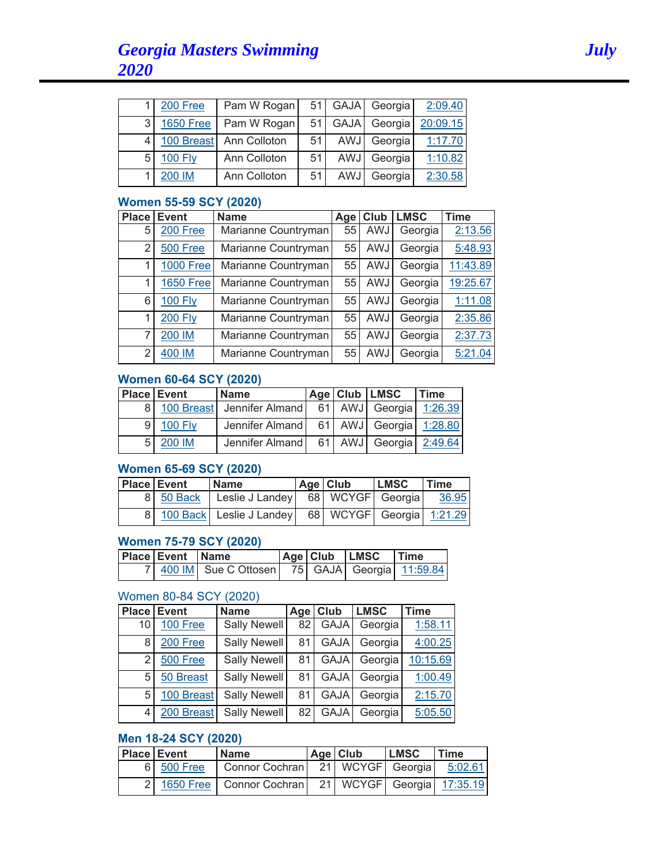|   | 200 Free         | Pam W Rogan             | 51 | <b>GAJA</b> | Georgia | 2:09.40  |
|---|------------------|-------------------------|----|-------------|---------|----------|
| 3 | <b>1650 Free</b> | Pam W Rogan             | 51 | <b>GAJA</b> | Georgia | 20:09.15 |
|   |                  | 100 Breast Ann Colloton | 51 | <b>AWJ</b>  | Georgia | 1:17.70  |
| 5 | <b>100 Fly</b>   | Ann Colloton            | 51 | AWJ         | Georgia | 1:10.82  |
|   | 200 IM           | Ann Colloton            | 51 | <b>AWJ</b>  | Georgia | 2:30.58  |

#### **Women 55-59 SCY (2020)**

| <b>Place</b> | Event            | <b>Name</b>         | Age | <b>Club</b> | <b>LMSC</b> | <b>Time</b> |
|--------------|------------------|---------------------|-----|-------------|-------------|-------------|
| 5            | 200 Free         | Marianne Countryman | 55  | AWJ         | Georgia     | 2:13.56     |
| 2            | 500 Free         | Marianne Countryman | 55  | AWJ         | Georgia     | 5:48.93     |
| 1            | <b>1000 Free</b> | Marianne Countryman | 55  | AWJ         | Georgia     | 11:43.89    |
| 1            | <b>1650 Free</b> | Marianne Countryman | 55  | AWJ         | Georgia     | 19:25.67    |
| 6            | <b>100 Fly</b>   | Marianne Countryman | 55  | AWJ         | Georgia     | 1:11.08     |
| 1            | <b>200 Fly</b>   | Marianne Countryman | 55  | AWJ         | Georgia     | 2:35.86     |
| 7            | 200 IM           | Marianne Countryman | 55  | AWJ         | Georgia     | 2:37.73     |
| 2            | 400 IM           | Marianne Countryman | 55  | AWJ         | Georgia     | 5:21.04     |

#### **Women 60-64 SCY (2020)**

|   | <b>Place Event</b> | <b>Name</b>                                         |  | Age Club LMSC | <b>Time</b> |
|---|--------------------|-----------------------------------------------------|--|---------------|-------------|
|   |                    | 8 100 Breast Jennifer Almand 61 AWJ Georgia 1:26.39 |  |               |             |
| 9 | <b>100 Fly</b>     | Jennifer Almand   61   AWJ   Georgia   1:28.80      |  |               |             |
|   | 200 IM             | Jennifer Almand   61   AWJ   Georgia   2:49.64      |  |               |             |

# **Women 65-69 SCY (2020)**

| Place Event | <b>Name</b>                                                     | Age Club | <b>LMSC</b> | Time  |
|-------------|-----------------------------------------------------------------|----------|-------------|-------|
| 8 50 Back   | Leslie J Landey   68   WCYGF   Georgia                          |          |             | 36.95 |
|             | 8   100 Back   Leslie J Landey   68   WCYGF   Georgia   1:21.29 |          |             |       |

# **Women 75-79 SCY (2020)**

| <b>Place Event Name</b> |                                                             |  | Age  Club LMSC | <b>Time</b> |
|-------------------------|-------------------------------------------------------------|--|----------------|-------------|
|                         | 7   400 IM   Sue C Ottosen   75   GAJA   Georgia   11:59.84 |  |                |             |

### Women 80-84 SCY (2020)

| <b>Place</b> | <b>Event</b> | <b>Name</b>         | Age | Club        | <b>LMSC</b> | Time     |
|--------------|--------------|---------------------|-----|-------------|-------------|----------|
| 10           | 100 Free     | <b>Sally Newell</b> | 82  | <b>GAJA</b> | Georgia     | 1:58.11  |
| 8            | 200 Free     | Sally Newell        | 81  | <b>GAJA</b> | Georgia     | 4:00.25  |
| 2            | 500 Free     | Sally Newell        | 81  | <b>GAJA</b> | Georgia     | 10:15.69 |
| 5            | 50 Breast    | <b>Sally Newell</b> | 81  | <b>GAJA</b> | Georgia     | 1:00.49  |
| 5            | 100 Breast   | Sally Newell        | 81  | <b>GAJA</b> | Georgia     | 2:15.70  |
| 4            | 200 Breast   | Sally Newell        | 82  | <b>GAJA</b> | Georgia     | 5:05.50  |

# **Men 18-24 SCY (2020)**

| <b>Place Event</b> | <b>Name</b>                           | Age Club | <b>LMSC</b> | Time                      |
|--------------------|---------------------------------------|----------|-------------|---------------------------|
| 6 500 Free         | Connor Cochran   21   WCYGF   Georgia |          |             | 5:02.61                   |
|                    | 2 1650 Free   Connor Cochran          |          |             | 21 WCYGF Georgia 17:35.19 |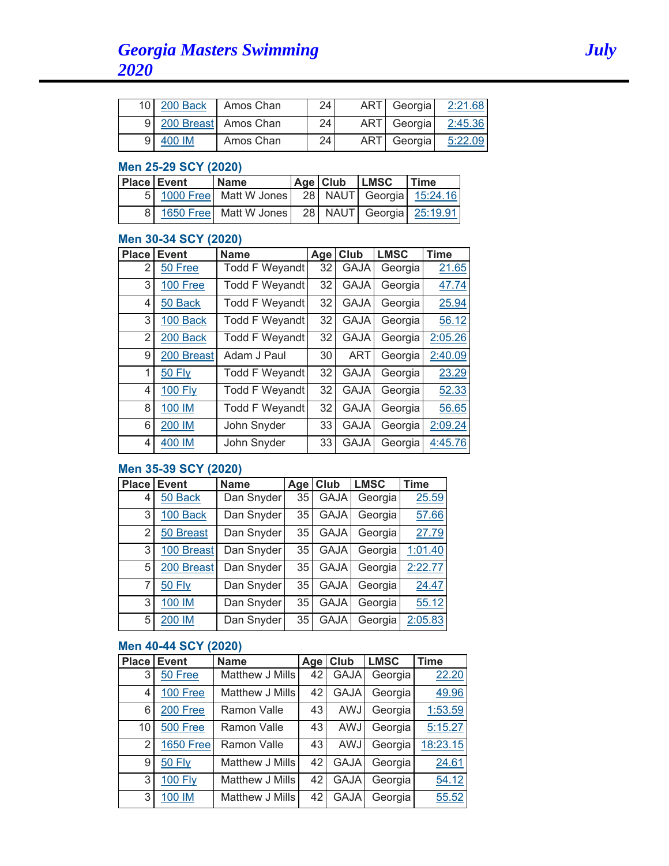|   |        | 10 200 Back   Amos Chan | 24 | ART Georgia | 2:21.68 |
|---|--------|-------------------------|----|-------------|---------|
|   |        | 9 200 Breast Amos Chan  | 24 | ART Georgia | 2:45.36 |
| 9 | 400 IM | Amos Chan               | 24 | ART Georgia | 5:22.09 |

### **Men 25-29 SCY (2020)**

| <b>Place Event</b> | <b>Name</b>                                                   | Age Club LMSC | <b>Time</b> |
|--------------------|---------------------------------------------------------------|---------------|-------------|
|                    | 5   1000 Free   Matt W Jones   28   NAUT   Georgia   15:24.16 |               |             |
|                    | 8 1650 Free Matt W Jones   28   NAUT   Georgia   25:19.91     |               |             |

### **Men 30-34 SCY (2020)**

| <b>Place</b> | <b>Event</b>   | <b>Name</b>           | Age | Club        | <b>LMSC</b> | <b>Time</b> |
|--------------|----------------|-----------------------|-----|-------------|-------------|-------------|
| 2            | 50 Free        | <b>Todd F Weyandt</b> | 32  | <b>GAJA</b> | Georgia     | 21.65       |
| 3            | 100 Free       | <b>Todd F Weyandt</b> | 32  | <b>GAJA</b> | Georgia     | 47.74       |
| 4            | 50 Back        | <b>Todd F Weyandt</b> | 32  | <b>GAJA</b> | Georgia     | 25.94       |
| 3            | 100 Back       | <b>Todd F Weyandt</b> | 32  | <b>GAJA</b> | Georgia     | 56.12       |
| 2            | 200 Back       | <b>Todd F Weyandt</b> | 32  | <b>GAJA</b> | Georgia     | 2:05.26     |
| 9            | 200 Breast     | Adam J Paul           | 30  | <b>ART</b>  | Georgia     | 2:40.09     |
| 1            | <b>50 Fly</b>  | <b>Todd F Weyandt</b> | 32  | <b>GAJA</b> | Georgia     | 23.29       |
| 4            | <b>100 Fly</b> | <b>Todd F Weyandt</b> | 32  | <b>GAJA</b> | Georgia     | 52.33       |
| 8            | 100 IM         | <b>Todd F Weyandt</b> | 32  | <b>GAJA</b> | Georgia     | 56.65       |
| 6            | 200 IM         | John Snyder           | 33  | <b>GAJA</b> | Georgia     | 2:09.24     |
| 4            | 400 IM         | John Snyder           | 33  | <b>GAJA</b> | Georgia     | 4:45.76     |

# **Men 35-39 SCY (2020)**

| <b>Place</b> | <b>Event</b>  | <b>Name</b> | Age             | Club        | <b>LMSC</b> | <b>Time</b> |
|--------------|---------------|-------------|-----------------|-------------|-------------|-------------|
| 4            | 50 Back       | Dan Snyder  | 35 <sup>1</sup> | <b>GAJA</b> | Georgia     | 25.59       |
| 3            | 100 Back      | Dan Snyder  | 35              | <b>GAJA</b> | Georgia     | 57.66       |
| 2            | 50 Breast     | Dan Snyder  | 35 <sup>1</sup> | <b>GAJA</b> | Georgia     | 27.79       |
| 3            | 100 Breast    | Dan Snyder  | 35              | <b>GAJA</b> | Georgia     | 1:01.40     |
| 5            | 200 Breast    | Dan Snyder  | 35              | <b>GAJA</b> | Georgia     | 2:22.77     |
| 7            | <b>50 Fly</b> | Dan Snyder  | 35 <sup>1</sup> | <b>GAJA</b> | Georgia     | 24.47       |
| 3            | 100 IM        | Dan Snyder  | 35              | <b>GAJA</b> | Georgia     | 55.12       |
| 5            | 200 IM        | Dan Snyder  | 35              | <b>GAJA</b> | Georgia     | 2:05.83     |

# **Men 40-44 SCY (2020)**

| <b>Place</b> | <b>Event</b>     | <b>Name</b>     | Age | Club        | <b>LMSC</b> | <b>Time</b> |
|--------------|------------------|-----------------|-----|-------------|-------------|-------------|
| 3            | 50 Free          | Matthew J Mills | 42  | <b>GAJA</b> | Georgia     | 22.20       |
| 4            | 100 Free         | Matthew J Mills | 42  | <b>GAJA</b> | Georgia     | 49.96       |
| 6            | 200 Free         | Ramon Valle     | 43  | AWJ         | Georgia     | 1:53.59     |
| 10           | 500 Free         | Ramon Valle     | 43  | AWJ         | Georgia     | 5:15.27     |
| 2            | <b>1650 Free</b> | Ramon Valle     | 43  | AWJ         | Georgia     | 18:23.15    |
| 9            | <b>50 Fly</b>    | Matthew J Mills | 42  | <b>GAJA</b> | Georgia     | 24.61       |
| 3            | <b>100 Fly</b>   | Matthew J Mills | 42  | <b>GAJA</b> | Georgia     | 54.12       |
| 3            | 100 IM           | Matthew J Mills | 42  | <b>GAJA</b> | Georgia     | 55.52       |